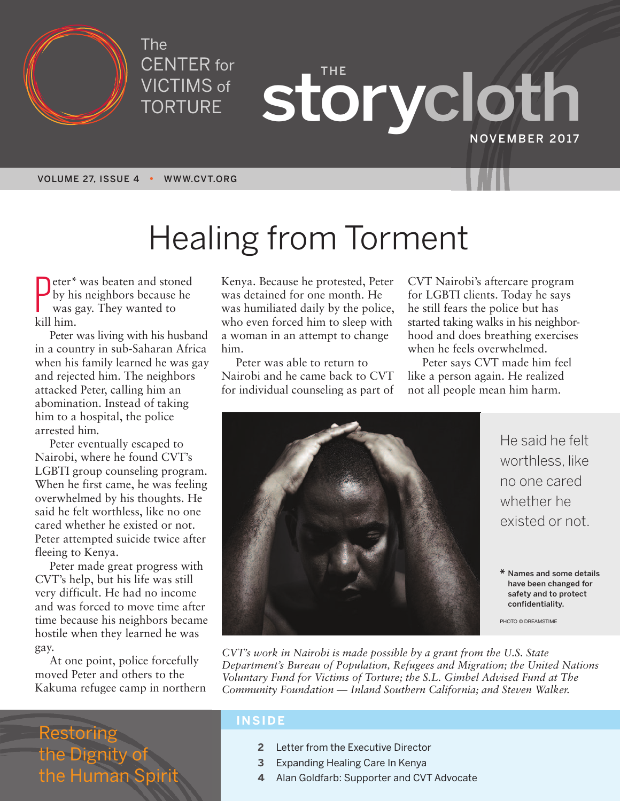

The CENTER for VICTIMS of TORTURE

**THE storycloth NOVEMBER 2017**

**VOLUME 27, ISSUE 4 • WWW.CVT.ORG**

# Healing from Torment

Deter\*<br>by hi<br>was a<br>kill him. eter\* was beaten and stoned by his neighbors because he was gay. They wanted to

Peter was living with his husband in a country in sub-Saharan Africa when his family learned he was gay and rejected him. The neighbors attacked Peter, calling him an abomination. Instead of taking him to a hospital, the police arrested him.

Peter eventually escaped to Nairobi, where he found CVT's LGBTI group counseling program. When he first came, he was feeling overwhelmed by his thoughts. He said he felt worthless, like no one cared whether he existed or not. Peter attempted suicide twice after fleeing to Kenya.

Peter made great progress with CVT's help, but his life was still very difficult. He had no income and was forced to move time after time because his neighbors became hostile when they learned he was gay.

At one point, police forcefully moved Peter and others to the Kakuma refugee camp in northern Kenya. Because he protested, Peter was detained for one month. He was humiliated daily by the police, who even forced him to sleep with a woman in an attempt to change him.

Peter was able to return to Nairobi and he came back to CVT for individual counseling as part of CVT Nairobi's aftercare program for LGBTI clients. Today he says he still fears the police but has started taking walks in his neighborhood and does breathing exercises when he feels overwhelmed.

Peter says CVT made him feel like a person again. He realized not all people mean him harm.



He said he felt worthless, like no one cared whether he existed or not.

**\* Names and some details have been changed for safety and to protect confidentiality.**

PHOTO © DREAMSTIME

*CVT's work in Nairobi is made possible by a grant from the U.S. State Department's Bureau of Population, Refugees and Migration; the United Nations Voluntary Fund for Victims of Torture; the S.L. Gimbel Advised Fund at The Community Foundation — Inland Southern California; and Steven Walker.*

### Restoring the Dignity the Human Sp

#### **INSIDE**

- **2** Letter from the Executive Director
- **3** Expanding Healing Care In Kenya
- **4** Alan Goldfarb: Supporter and CVT Advocate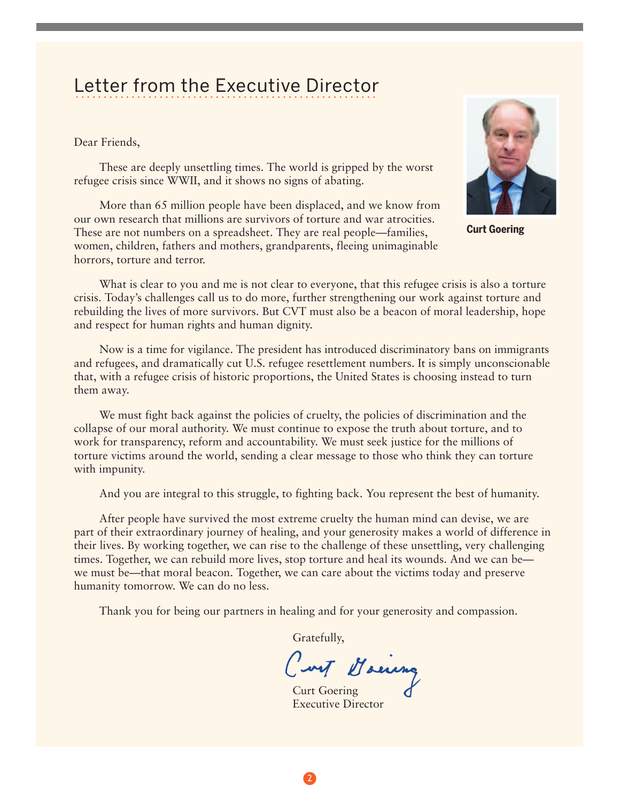#### Letter from the Executive Director LULLUI TIUITI LIIU LAUUULIVU DIIUULUI

Dear Friends,

These are deeply unsettling times. The world is gripped by the worst refugee crisis since WWII, and it shows no signs of abating.

**Curt Goering**

More than 65 million people have been displaced, and we know from our own research that millions are survivors of torture and war atrocities. These are not numbers on a spreadsheet. They are real people—families, women, children, fathers and mothers, grandparents, fleeing unimaginable horrors, torture and terror.

What is clear to you and me is not clear to everyone, that this refugee crisis is also a torture crisis. Today's challenges call us to do more, further strengthening our work against torture and rebuilding the lives of more survivors. But CVT must also be a beacon of moral leadership, hope and respect for human rights and human dignity.

Now is a time for vigilance. The president has introduced discriminatory bans on immigrants and refugees, and dramatically cut U.S. refugee resettlement numbers. It is simply unconscionable that, with a refugee crisis of historic proportions, the United States is choosing instead to turn them away.

We must fight back against the policies of cruelty, the policies of discrimination and the collapse of our moral authority. We must continue to expose the truth about torture, and to work for transparency, reform and accountability. We must seek justice for the millions of torture victims around the world, sending a clear message to those who think they can torture with impunity.

And you are integral to this struggle, to fighting back. You represent the best of humanity.

After people have survived the most extreme cruelty the human mind can devise, we are part of their extraordinary journey of healing, and your generosity makes a world of difference in their lives. By working together, we can rise to the challenge of these unsettling, very challenging times. Together, we can rebuild more lives, stop torture and heal its wounds. And we can be we must be—that moral beacon. Together, we can care about the victims today and preserve humanity tomorrow. We can do no less.

Thank you for being our partners in healing and for your generosity and compassion.

2

Gratefully,<br>Cant Haeing

Curt Goering Executive Director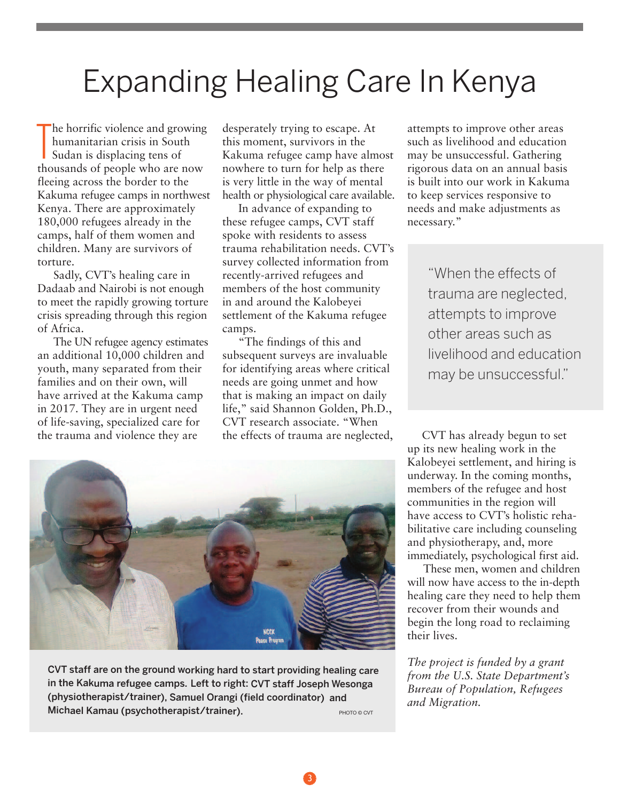### Expanding Healing Care In Kenya

The horrific violence and growing<br>humanitarian crisis in South<br>Sudan is displacing tens of<br>thousands of people who are now he horrific violence and growing humanitarian crisis in South Sudan is displacing tens of fleeing across the border to the Kakuma refugee camps in northwest Kenya. There are approximately 180,000 refugees already in the camps, half of them women and children. Many are survivors of torture.

Sadly, CVT's healing care in Dadaab and Nairobi is not enough to meet the rapidly growing torture crisis spreading through this region of Africa.

The UN refugee agency estimates an additional 10,000 children and youth, many separated from their families and on their own, will have arrived at the Kakuma camp in 2017. They are in urgent need of life-saving, specialized care for the trauma and violence they are

desperately trying to escape. At this moment, survivors in the Kakuma refugee camp have almost nowhere to turn for help as there is very little in the way of mental health or physiological care available.

In advance of expanding to these refugee camps, CVT staff spoke with residents to assess trauma rehabilitation needs. CVT's survey collected information from recently-arrived refugees and members of the host community in and around the Kalobeyei settlement of the Kakuma refugee camps.

"The findings of this and subsequent surveys are invaluable for identifying areas where critical needs are going unmet and how that is making an impact on daily life," said Shannon Golden, Ph.D., CVT research associate. "When the effects of trauma are neglected, attempts to improve other areas such as livelihood and education may be unsuccessful. Gathering rigorous data on an annual basis is built into our work in Kakuma to keep services responsive to needs and make adjustments as necessary."

> "When the effects of trauma are neglected, attempts to improve other areas such as livelihood and education may be unsuccessful."

CVT has already begun to set up its new healing work in the Kalobeyei settlement, and hiring is underway. In the coming months, members of the refugee and host communities in the region will have access to CVT's holistic rehabilitative care including counseling and physiotherapy, and, more immediately, psychological first aid.

These men, women and children will now have access to the in-depth healing care they need to help them recover from their wounds and begin the long road to reclaiming their lives.

*The project is funded by a grant from the U.S. State Department's Bureau of Population, Refugees and Migration.*